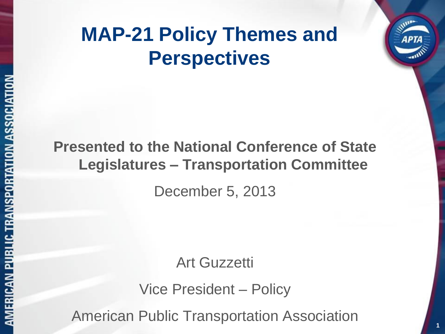## **MAP-21 Policy Themes and Perspectives**

# **Presented to the National Conference of State Legislatures – Transportation Committee**

December 5, 2013

Art Guzzetti

Vice President – Policy

American Public Transportation Association

**1**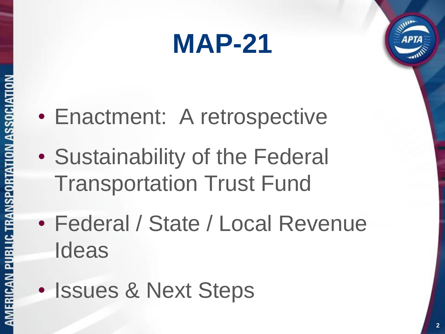# **MAP-21**



- Sustainability of the Federal Transportation Trust Fund
- Federal / State / Local Revenue Ideas
- Issues & Next Steps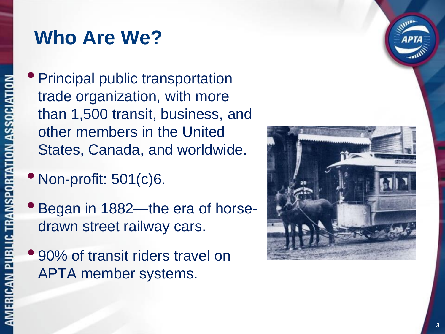### **Who Are We?**

• Principal public transportation trade organization, with more than 1,500 transit, business, and other members in the United States, Canada, and worldwide.

- Non-profit: 501(c)6.
- Began in 1882—the era of horsedrawn street railway cars.
- 90% of transit riders travel on APTA member systems.

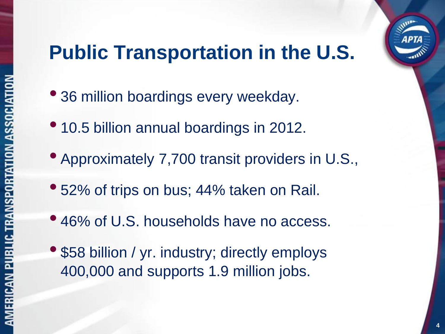# **APTA**

# **Public Transportation in the U.S.**

- 36 million boardings every weekday.
- 10.5 billion annual boardings in 2012.
- Approximately 7,700 transit providers in U.S.,
- 52% of trips on bus; 44% taken on Rail.
- 46% of U.S. households have no access.
- \$58 billion / yr. industry; directly employs 400,000 and supports 1.9 million jobs.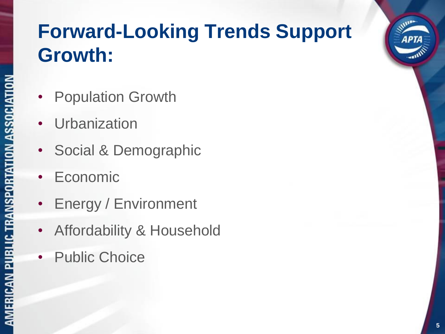# **Forward-Looking Trends Support Growth:**

- **Population Growth**
- **Urbanization**
- Social & Demographic
- **Economic**
- Energy / Environment
- Affordability & Household
- Public Choice

*<u>Allen*</u>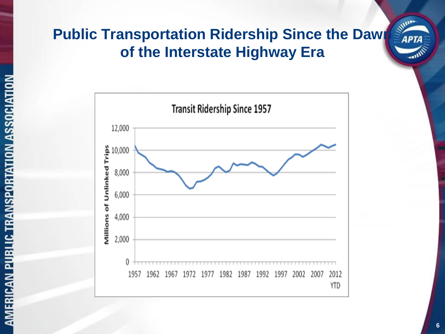# **Public Transportation Ridership Since the Dawn Structure 100 of the Interstate Highway Era**

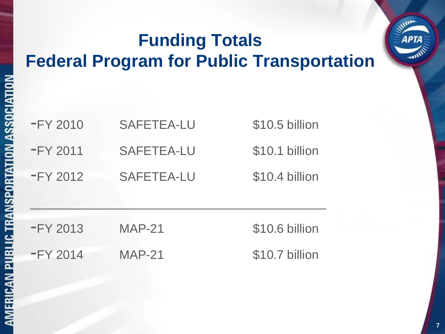#### **Funding Totals Federal Program for Public Transportation**

| $-FY 2010$ | SAFETEA-LU | \$10.5 billion |
|------------|------------|----------------|
| $-FY 2011$ | SAFETEA-LU | \$10.1 billion |
| $-FY 2012$ | SAFETEA-LU | \$10.4 billion |

| FY 2013    | $MAP-21$ | \$10.6 billion |
|------------|----------|----------------|
| $-FY 2014$ | $MAP-21$ | \$10.7 billion |

\_\_\_\_\_\_\_\_\_\_\_\_\_\_\_\_\_\_\_\_\_\_\_\_\_\_\_\_\_\_\_\_\_\_\_\_\_\_\_\_\_\_\_

**William**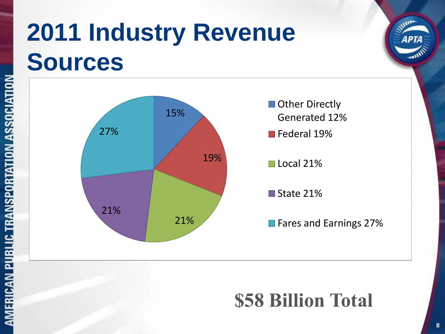# **2011 Industry Revenue Sources**



## **\$58 Billion Total**

**Allen**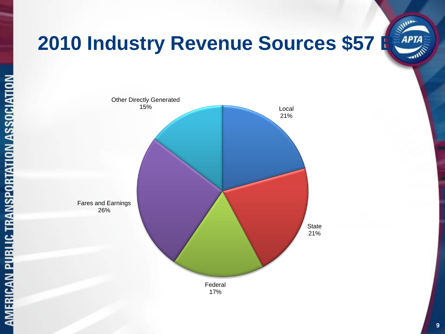

# **2010 Industry Revenue Sources \$57 B. APTA**

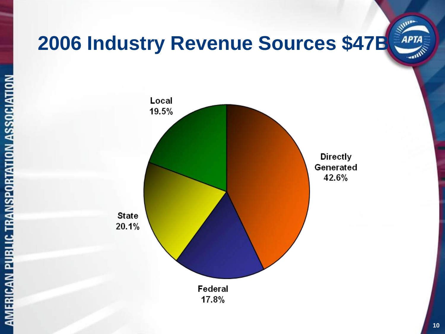

AMERICAN PUBLIC TRANSPORTATION ASSOCIATION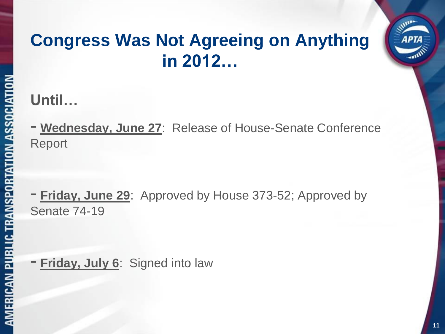#### **Congress Was Not Agreeing on Anything in 2012…**

#### **Until…**

- **Wednesday, June 27**: Release of House-Senate Conference Report

**Friday, June 29:** Approved by House 373-52; Approved by Senate 74-19

- **Friday, July 6**: Signed into law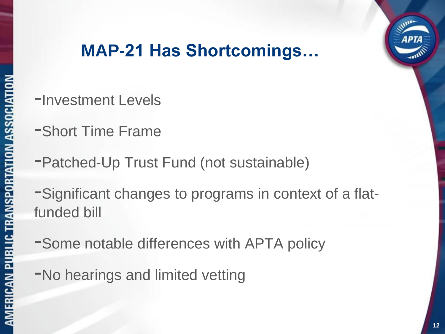# **APTA**

#### **MAP-21 Has Shortcomings…**

- -Investment Levels
- -Short Time Frame
- -Patched-Up Trust Fund (not sustainable)

-Significant changes to programs in context of a flatfunded bill

- -Some notable differences with APTA policy
- -No hearings and limited vetting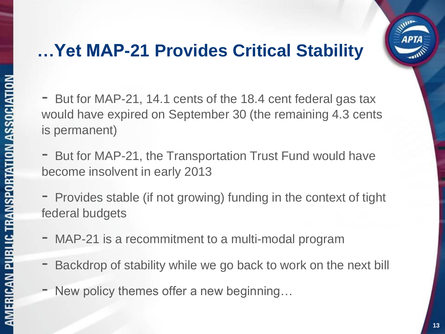#### **…Yet MAP-21 Provides Critical Stability**



- But for MAP-21, the Transportation Trust Fund would have become insolvent in early 2013
- Provides stable (if not growing) funding in the context of tight federal budgets
- MAP-21 is a recommitment to a multi-modal program
- Backdrop of stability while we go back to work on the next bill
- New policy themes offer a new beginning…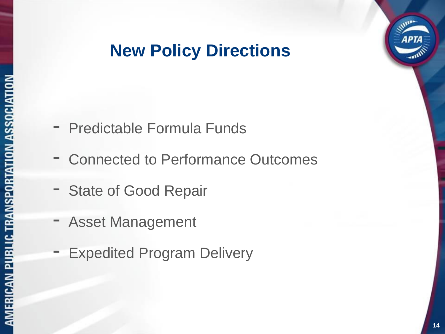#### **New Policy Directions**

- Predictable Formula Funds
- Connected to Performance Outcomes
- State of Good Repair
- Asset Management
- **Expedited Program Delivery**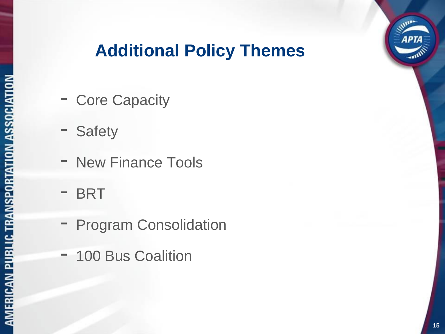

#### **Additional Policy Themes**

- Core Capacity
- Safety
- New Finance Tools
- BRT
- Program Consolidation
- 100 Bus Coalition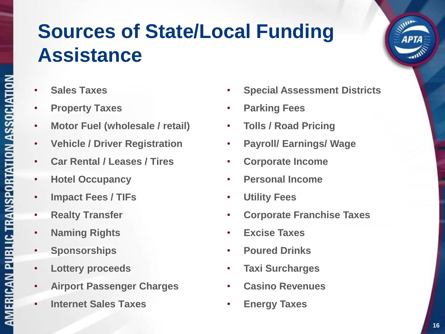# **Sources of State/Local Funding Assistance**

- **Sales Taxes**
- **Property Taxes**
- **Motor Fuel (wholesale / retail)**
- **Vehicle / Driver Registration**
- **Car Rental / Leases / Tires**
- **Hotel Occupancy**
- **Impact Fees / TIFs**
- **Realty Transfer**

AMERICAN PUBLIC TRANSPORTATION ASSOCIATION

- **Naming Rights**
- **Sponsorships**
- **Lottery proceeds**
- **Airport Passenger Charges**
- **Internet Sales Taxes**
- **Special Assessment Districts**
- **Parking Fees**
- **Tolls / Road Pricing**
- **Payroll/ Earnings/ Wage**
- **Corporate Income**
- **Personal Income**
- **Utility Fees**
- **Corporate Franchise Taxes**
- **Excise Taxes**
- **Poured Drinks**
- **Taxi Surcharges**
- **Casino Revenues**
- **Energy Taxes**

**Miller**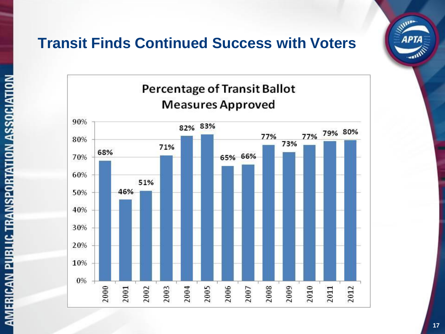#### **Transit Finds Continued Success with Voters**



**Allison**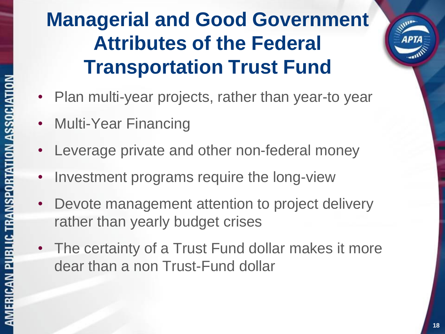# **Managerial and Good Government Attributes of the Federal Transportation Trust Fund**

- Plan multi-year projects, rather than year-to year
- Multi-Year Financing
- Leverage private and other non-federal money
- Investment programs require the long-view
- Devote management attention to project delivery rather than yearly budget crises
- The certainty of a Trust Fund dollar makes it more dear than a non Trust-Fund dollar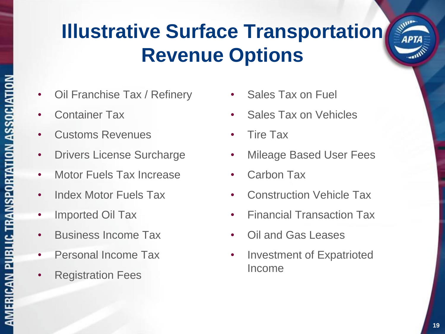# **Illustrative Surface Transportation Revenue Options**

- Oil Franchise Tax / Refinery
- Container Tax
- Customs Revenues
- Drivers License Surcharge
- Motor Fuels Tax Increase
- Index Motor Fuels Tax
- Imported Oil Tax
- Business Income Tax
- Personal Income Tax
- Registration Fees
- Sales Tax on Fuel
- Sales Tax on Vehicles
- Tire Tax
- **Mileage Based User Fees**
- Carbon Tax
- **Construction Vehicle Tax**
- Financial Transaction Tax
- Oil and Gas Leases
- Investment of Expatrioted Income

**MARITA**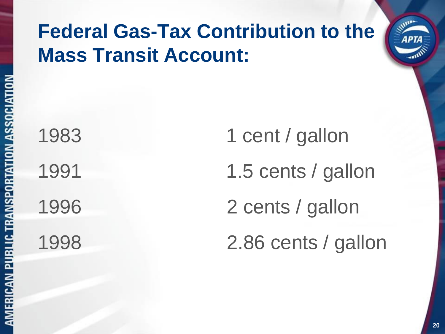# **Federal Gas-Tax Contribution to the Mass Transit Account:**

1983 1 cent / gallon 1991 1.5 cents / gallon 1996 2 cents / gallon 1998 2.86 cents / gallon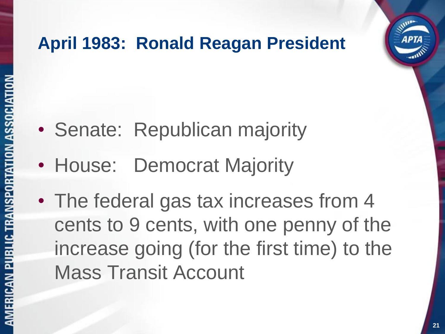#### **April 1983: Ronald Reagan President**

- Senate: Republican majority
- House: Democrat Majority
- The federal gas tax increases from 4 cents to 9 cents, with one penny of the increase going (for the first time) to the Mass Transit Account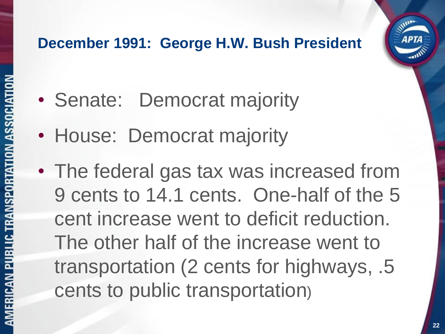#### **December 1991: George H.W. Bush President**

- Senate: Democrat majority
- House: Democrat majority
- The federal gas tax was increased from 9 cents to 14.1 cents. One-half of the 5 cent increase went to deficit reduction. The other half of the increase went to transportation (2 cents for highways, .5 cents to public transportation)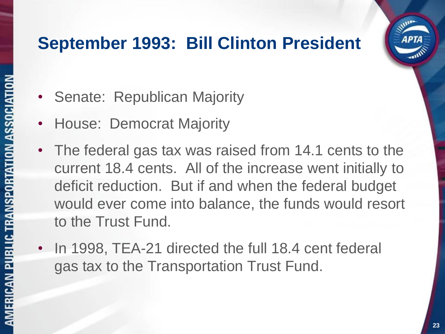#### **September 1993: Bill Clinton President**

- Senate: Republican Majority
- House: Democrat Majority
- The federal gas tax was raised from 14.1 cents to the current 18.4 cents. All of the increase went initially to deficit reduction. But if and when the federal budget would ever come into balance, the funds would resort to the Trust Fund.
- In 1998, TEA-21 directed the full 18.4 cent federal gas tax to the Transportation Trust Fund.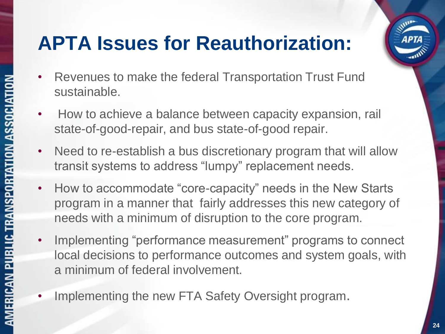# **APTA Issues for Reauthorization:**

- Revenues to make the federal Transportation Trust Fund sustainable.
- How to achieve a balance between capacity expansion, rail state-of-good-repair, and bus state-of-good repair.
- Need to re-establish a bus discretionary program that will allow transit systems to address "lumpy" replacement needs.
- How to accommodate "core-capacity" needs in the New Starts program in a manner that fairly addresses this new category of needs with a minimum of disruption to the core program.
- Implementing "performance measurement" programs to connect local decisions to performance outcomes and system goals, with a minimum of federal involvement.
- Implementing the new FTA Safety Oversight program.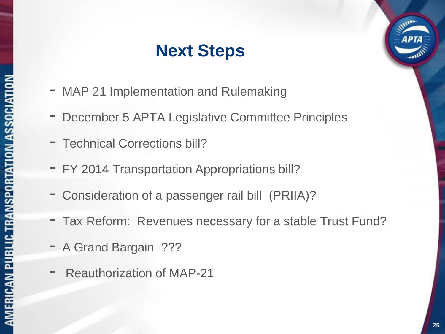#### **Next Steps**

- MAP 21 Implementation and Rulemaking
- December 5 APTA Legislative Committee Principles
- Technical Corrections bill?
- FY 2014 Transportation Appropriations bill?
- Consideration of a passenger rail bill (PRIIA)?
- Tax Reform: Revenues necessary for a stable Trust Fund?
- A Grand Bargain ???
- Reauthorization of MAP-21

**APTA** 

**25**